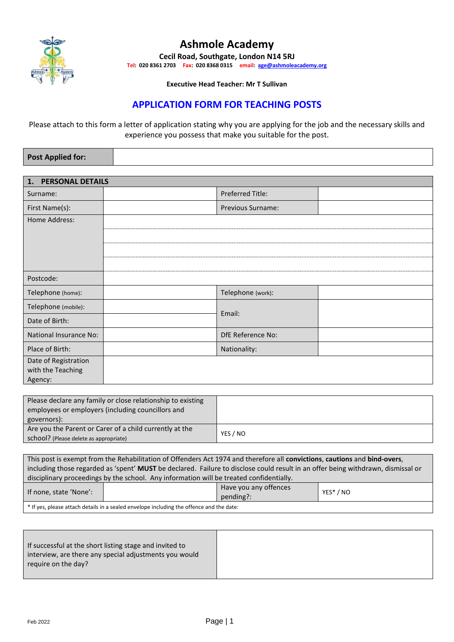

# **Ashmole Academy**

**Cecil Road, Southgate, London N14 5RJ Tel: 020 8361 2703 Fax: 020 8368 0315 email: [age@ashmoleacademy.org](mailto:age@ashmoleacademy.org)**

**Executive Head Teacher: Mr T Sullivan**

# **APPLICATION FORM FOR TEACHING POSTS**

Please attach to this form a letter of application stating why you are applying for the job and the necessary skills and experience you possess that make you suitable for the post.

| <b>Post Applied for:</b> |  |  |
|--------------------------|--|--|
|--------------------------|--|--|

| <b>PERSONAL DETAILS</b><br>1. |  |                         |  |  |  |
|-------------------------------|--|-------------------------|--|--|--|
| Surname:                      |  | <b>Preferred Title:</b> |  |  |  |
| First Name(s):                |  | Previous Surname:       |  |  |  |
| Home Address:                 |  |                         |  |  |  |
|                               |  |                         |  |  |  |
|                               |  |                         |  |  |  |
|                               |  |                         |  |  |  |
| Postcode:                     |  |                         |  |  |  |
| Telephone (home):             |  | Telephone (work):       |  |  |  |
| Telephone (mobile):           |  | Email:                  |  |  |  |
| Date of Birth:                |  |                         |  |  |  |
| National Insurance No:        |  | DfE Reference No:       |  |  |  |
| Place of Birth:               |  | Nationality:            |  |  |  |
| Date of Registration          |  |                         |  |  |  |
| with the Teaching<br>Agency:  |  |                         |  |  |  |

| Please declare any family or close relationship to existing<br>employees or employers (including councillors and<br>governors): |          |
|---------------------------------------------------------------------------------------------------------------------------------|----------|
| Are you the Parent or Carer of a child currently at the<br>school? (Please delete as appropriate)                               | YES / NO |

| This post is exempt from the Rehabilitation of Offenders Act 1974 and therefore all convictions, cautions and bind-overs,               |  |  |  |  |  |
|-----------------------------------------------------------------------------------------------------------------------------------------|--|--|--|--|--|
| including those regarded as 'spent' <b>MUST</b> be declared. Failure to disclose could result in an offer being withdrawn, dismissal or |  |  |  |  |  |
| disciplinary proceedings by the school. Any information will be treated confidentially.                                                 |  |  |  |  |  |
| Have you any offences<br>If none, state 'None':<br>YES* / NO<br>pending?:                                                               |  |  |  |  |  |

\* If yes, please attach details in a sealed envelope including the offence and the date:

| If successful at the short listing stage and invited to |
|---------------------------------------------------------|
| interview, are there any special adjustments you would  |
| require on the day?                                     |
|                                                         |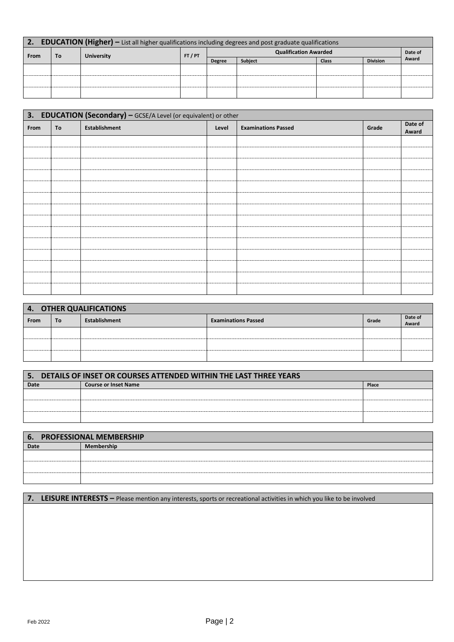| 2. EDUCATION (Higher) - List all higher qualifications including degrees and post graduate qualifications |  |                   |       |                              |         |              |                 |       |
|-----------------------------------------------------------------------------------------------------------|--|-------------------|-------|------------------------------|---------|--------------|-----------------|-------|
| To<br><b>From</b>                                                                                         |  | <b>University</b> | FT/PT | <b>Qualification Awarded</b> |         |              | Date of         |       |
|                                                                                                           |  |                   |       | <b>Degree</b>                | Subject | <b>Class</b> | <b>Division</b> | Award |
|                                                                                                           |  |                   |       |                              |         |              |                 |       |
|                                                                                                           |  |                   |       |                              |         |              |                 |       |
|                                                                                                           |  |                   |       |                              |         |              |                 |       |
|                                                                                                           |  |                   |       |                              |         |              |                 |       |

| 3. EDUCATION (Secondary) - GCSE/A Level (or equivalent) or other |    |                      |       |                            |       |                  |
|------------------------------------------------------------------|----|----------------------|-------|----------------------------|-------|------------------|
| From                                                             | To | <b>Establishment</b> | Level | <b>Examinations Passed</b> | Grade | Date of<br>Award |
|                                                                  |    |                      |       |                            |       |                  |
|                                                                  |    |                      |       |                            |       |                  |
|                                                                  |    |                      |       |                            |       |                  |
|                                                                  |    |                      |       |                            |       |                  |
|                                                                  |    |                      |       |                            |       |                  |
|                                                                  |    |                      |       |                            |       |                  |
|                                                                  |    |                      |       |                            |       |                  |
|                                                                  |    |                      |       |                            |       |                  |
|                                                                  |    |                      |       |                            |       |                  |
|                                                                  |    |                      |       |                            |       |                  |
|                                                                  |    |                      |       |                            |       |                  |
|                                                                  |    |                      |       |                            |       |                  |
|                                                                  |    |                      |       |                            |       |                  |
|                                                                  |    |                      |       |                            |       |                  |

| <b>OTHER QUALIFICATIONS</b><br>$\overline{4}$ . |    |               |                            |       |                  |  |
|-------------------------------------------------|----|---------------|----------------------------|-------|------------------|--|
| <b>From</b>                                     | To | Establishment | <b>Examinations Passed</b> | Grade | Date of<br>Award |  |
|                                                 |    |               |                            |       |                  |  |
|                                                 |    |               |                            |       |                  |  |
|                                                 |    |               |                            |       |                  |  |

| 5.     DETAILS OF INSET OR COURSES ATTENDED WITHIN THE LAST THREE YEARS |                             |       |  |  |
|-------------------------------------------------------------------------|-----------------------------|-------|--|--|
| Date                                                                    | <b>Course or Inset Name</b> | Place |  |  |
|                                                                         |                             |       |  |  |
|                                                                         |                             |       |  |  |
|                                                                         |                             |       |  |  |

|      | 6. PROFESSIONAL MEMBERSHIP |
|------|----------------------------|
| Date | Membership                 |
|      |                            |
|      |                            |
|      |                            |
|      |                            |
|      |                            |

# **7. LEISURE INTERESTS –** Please mention any interests, sports or recreational activities in which you like to be involved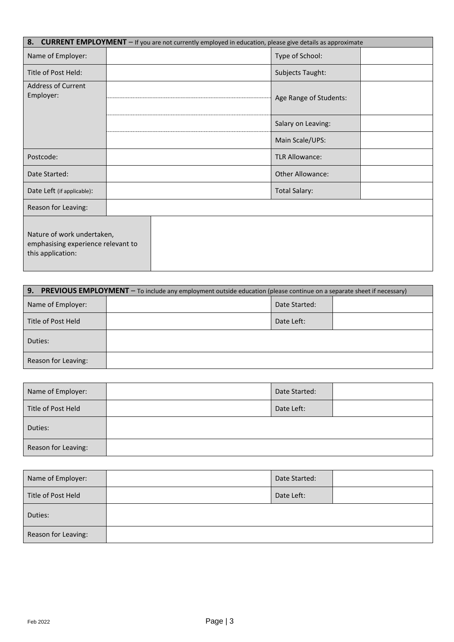|                                                                                       | 8. CURRENT EMPLOYMENT - If you are not currently employed in education, please give details as approximate |  |
|---------------------------------------------------------------------------------------|------------------------------------------------------------------------------------------------------------|--|
| Name of Employer:                                                                     | Type of School:                                                                                            |  |
| Title of Post Held:                                                                   | Subjects Taught:                                                                                           |  |
| <b>Address of Current</b><br>Employer:                                                | Age Range of Students:                                                                                     |  |
|                                                                                       | Salary on Leaving:                                                                                         |  |
|                                                                                       | Main Scale/UPS:                                                                                            |  |
| Postcode:                                                                             | <b>TLR Allowance:</b>                                                                                      |  |
| Date Started:                                                                         | Other Allowance:                                                                                           |  |
| Date Left (if applicable):                                                            | <b>Total Salary:</b>                                                                                       |  |
| Reason for Leaving:                                                                   |                                                                                                            |  |
| Nature of work undertaken,<br>emphasising experience relevant to<br>this application: |                                                                                                            |  |

| 9. PREVIOUS EMPLOYMENT - To include any employment outside education (please continue on a separate sheet if necessary) |  |               |  |  |  |
|-------------------------------------------------------------------------------------------------------------------------|--|---------------|--|--|--|
| Name of Employer:                                                                                                       |  | Date Started: |  |  |  |
| Title of Post Held                                                                                                      |  | Date Left:    |  |  |  |
| Duties:                                                                                                                 |  |               |  |  |  |
| Reason for Leaving:                                                                                                     |  |               |  |  |  |

| Name of Employer:   | Date Started: |  |
|---------------------|---------------|--|
| Title of Post Held  | Date Left:    |  |
| Duties:             |               |  |
| Reason for Leaving: |               |  |

| Name of Employer:   | Date Started: |  |
|---------------------|---------------|--|
| Title of Post Held  | Date Left:    |  |
| Duties:             |               |  |
| Reason for Leaving: |               |  |